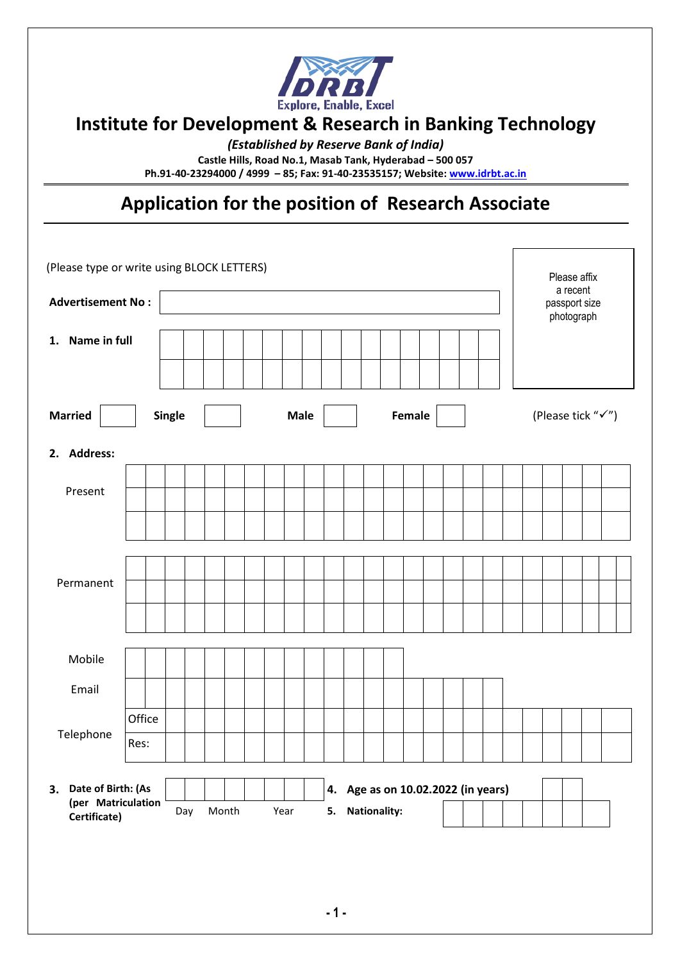

# **Institute for Development & Research in Banking Technology**

*(Established by Reserve Bank of India)*

**Castle Hills, Road No.1, Masab Tank, Hyderabad – 500 057**

**Ph.91-40-23294000 / 4999 – 85; Fax: 91-40-23535157; Website[: www.idrbt.ac.in](http://www.idrbt.ac.in/)**

# **Application for the position of Research Associate**

| (Please type or write using BLOCK LETTERS)                  |        |  |     |  |                       |  |  |      |  | Please affix<br>a recent |                             |                 |                   |  |  |  |  |  |  |  |  |  |
|-------------------------------------------------------------|--------|--|-----|--|-----------------------|--|--|------|--|--------------------------|-----------------------------|-----------------|-------------------|--|--|--|--|--|--|--|--|--|
| <b>Advertisement No:</b>                                    |        |  |     |  |                       |  |  |      |  |                          | passport size<br>photograph |                 |                   |  |  |  |  |  |  |  |  |  |
| 1. Name in full                                             |        |  |     |  |                       |  |  |      |  |                          |                             |                 |                   |  |  |  |  |  |  |  |  |  |
| <b>Married</b><br><b>Single</b>                             |        |  |     |  | Female<br><b>Male</b> |  |  |      |  |                          |                             |                 | (Please tick "√") |  |  |  |  |  |  |  |  |  |
| 2. Address:                                                 |        |  |     |  |                       |  |  |      |  |                          |                             |                 |                   |  |  |  |  |  |  |  |  |  |
| Present                                                     |        |  |     |  |                       |  |  |      |  |                          |                             |                 |                   |  |  |  |  |  |  |  |  |  |
|                                                             |        |  |     |  |                       |  |  |      |  |                          |                             |                 |                   |  |  |  |  |  |  |  |  |  |
|                                                             |        |  |     |  |                       |  |  |      |  |                          |                             |                 |                   |  |  |  |  |  |  |  |  |  |
| Permanent                                                   |        |  |     |  |                       |  |  |      |  |                          |                             |                 |                   |  |  |  |  |  |  |  |  |  |
|                                                             |        |  |     |  |                       |  |  |      |  |                          |                             |                 |                   |  |  |  |  |  |  |  |  |  |
| Mobile                                                      |        |  |     |  |                       |  |  |      |  |                          |                             |                 |                   |  |  |  |  |  |  |  |  |  |
| Email                                                       |        |  |     |  |                       |  |  |      |  |                          |                             |                 |                   |  |  |  |  |  |  |  |  |  |
|                                                             | Office |  |     |  |                       |  |  |      |  |                          |                             |                 |                   |  |  |  |  |  |  |  |  |  |
| Telephone                                                   | Res:   |  |     |  |                       |  |  |      |  |                          |                             |                 |                   |  |  |  |  |  |  |  |  |  |
| 3. Date of Birth: (As<br>4. Age as on 10.02.2022 (in years) |        |  |     |  |                       |  |  |      |  |                          |                             |                 |                   |  |  |  |  |  |  |  |  |  |
| (per Matriculation<br>Certificate)                          |        |  | Day |  | Month                 |  |  | Year |  |                          |                             | 5. Nationality: |                   |  |  |  |  |  |  |  |  |  |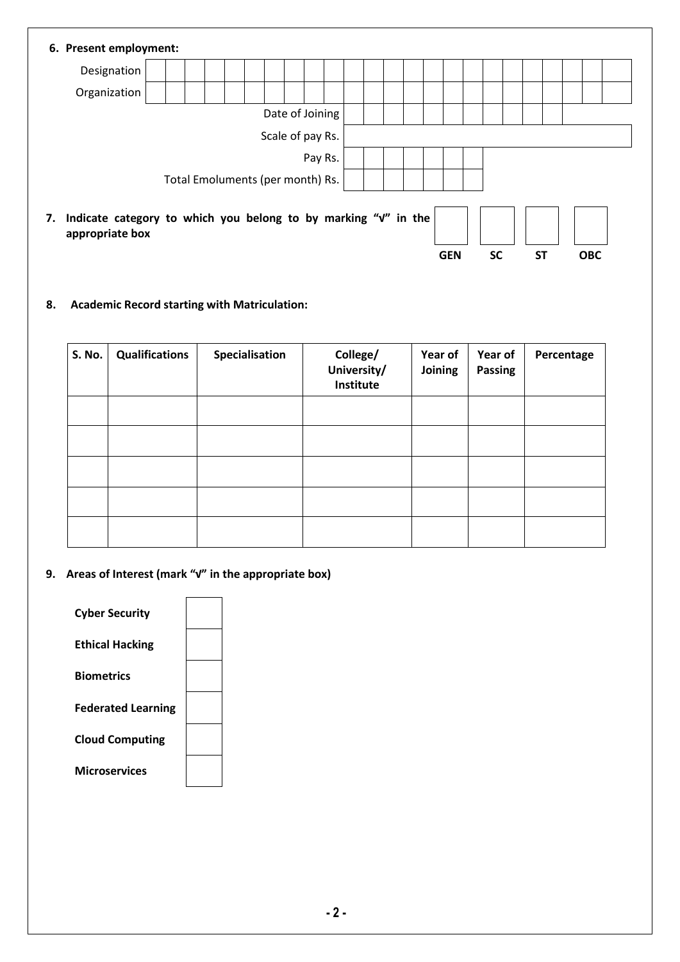| 6. Present employment:                                                                                                                        |                  |  |  |  |  |  |  |  |  |  |  |  |  |  |
|-----------------------------------------------------------------------------------------------------------------------------------------------|------------------|--|--|--|--|--|--|--|--|--|--|--|--|--|
| Designation                                                                                                                                   |                  |  |  |  |  |  |  |  |  |  |  |  |  |  |
| Organization                                                                                                                                  |                  |  |  |  |  |  |  |  |  |  |  |  |  |  |
|                                                                                                                                               | Date of Joining  |  |  |  |  |  |  |  |  |  |  |  |  |  |
|                                                                                                                                               | Scale of pay Rs. |  |  |  |  |  |  |  |  |  |  |  |  |  |
| Pay Rs.                                                                                                                                       |                  |  |  |  |  |  |  |  |  |  |  |  |  |  |
| Total Emoluments (per month) Rs.                                                                                                              |                  |  |  |  |  |  |  |  |  |  |  |  |  |  |
| Indicate category to which you belong to by marking "v" in the<br>7.<br>appropriate box<br><b>ST</b><br><b>GEN</b><br><b>SC</b><br><b>OBC</b> |                  |  |  |  |  |  |  |  |  |  |  |  |  |  |

**8. Academic Record starting with Matriculation:**

| S. No. | <b>Qualifications</b> | Specialisation | College/<br>University/<br>Institute | Year of<br>Joining | Year of<br><b>Passing</b> | Percentage |  |  |
|--------|-----------------------|----------------|--------------------------------------|--------------------|---------------------------|------------|--|--|
|        |                       |                |                                      |                    |                           |            |  |  |
|        |                       |                |                                      |                    |                           |            |  |  |
|        |                       |                |                                      |                    |                           |            |  |  |
|        |                       |                |                                      |                    |                           |            |  |  |
|        |                       |                |                                      |                    |                           |            |  |  |

**9. Areas of Interest (mark "√" in the appropriate box)**

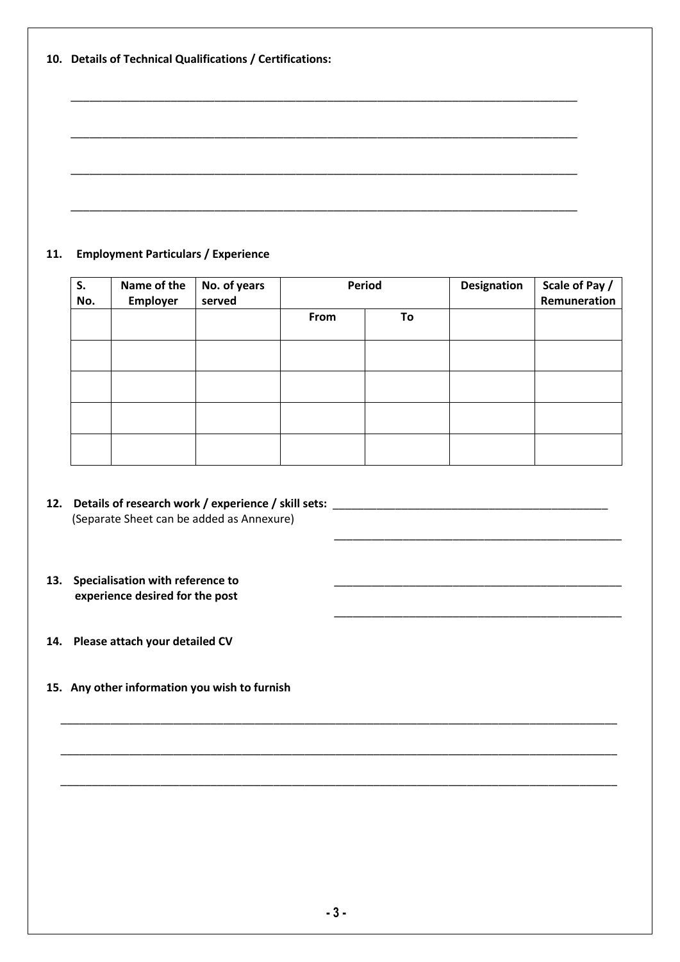**10. Details of Technical Qualifications / Certifications:** 

### **11. Employment Particulars / Experience**

| S.<br>No. | Name of the<br>Employer | No. of years<br>served | Period |    | Designation | Scale of Pay /<br>Remuneration |
|-----------|-------------------------|------------------------|--------|----|-------------|--------------------------------|
|           |                         |                        | From   | To |             |                                |
|           |                         |                        |        |    |             |                                |
|           |                         |                        |        |    |             |                                |
|           |                         |                        |        |    |             |                                |
|           |                         |                        |        |    |             |                                |

\_\_\_\_\_\_\_\_\_\_\_\_\_\_\_\_\_\_\_\_\_\_\_\_\_\_\_\_\_\_\_\_\_\_\_\_\_\_\_\_\_\_\_\_\_\_

\_\_\_\_\_\_\_\_\_\_\_\_\_\_\_\_\_\_\_\_\_\_\_\_\_\_\_\_\_\_\_\_\_\_\_\_\_\_\_\_\_\_\_\_\_\_\_\_\_\_\_\_\_\_\_\_\_\_\_\_\_\_\_\_\_\_\_\_\_\_\_\_\_\_\_\_\_\_\_\_\_\_\_\_\_\_\_\_\_

\_\_\_\_\_\_\_\_\_\_\_\_\_\_\_\_\_\_\_\_\_\_\_\_\_\_\_\_\_\_\_\_\_\_\_\_\_\_\_\_\_\_\_\_\_\_\_\_\_\_\_\_\_\_\_\_\_\_\_\_\_\_\_\_\_\_\_\_\_\_\_\_\_\_\_\_\_\_\_\_\_\_\_\_\_\_\_\_\_

\_\_\_\_\_\_\_\_\_\_\_\_\_\_\_\_\_\_\_\_\_\_\_\_\_\_\_\_\_\_\_\_\_\_\_\_\_\_\_\_\_\_\_\_\_\_\_\_\_\_\_\_\_\_\_\_\_\_\_\_\_\_\_\_\_\_\_\_\_\_\_\_\_\_\_\_\_\_\_\_\_\_\_\_\_\_\_\_\_

\_\_\_\_\_\_\_\_\_\_\_\_\_\_\_\_\_\_\_\_\_\_\_\_\_\_\_\_\_\_\_\_\_\_\_\_\_\_\_\_\_\_\_\_\_\_

\_\_\_\_\_\_\_\_\_\_\_\_\_\_\_\_\_\_\_\_\_\_\_\_\_\_\_\_\_\_\_\_\_\_\_\_\_\_\_\_\_\_\_\_\_\_\_\_\_\_\_\_\_\_\_\_\_\_\_\_\_\_\_\_\_\_\_\_\_\_\_\_\_\_\_\_\_\_\_\_\_

\_\_\_\_\_\_\_\_\_\_\_\_\_\_\_\_\_\_\_\_\_\_\_\_\_\_\_\_\_\_\_\_\_\_\_\_\_\_\_\_\_\_\_\_\_\_\_\_\_\_\_\_\_\_\_\_\_\_\_\_\_\_\_\_\_\_\_\_\_\_\_\_\_\_\_\_\_\_\_\_\_

\_\_\_\_\_\_\_\_\_\_\_\_\_\_\_\_\_\_\_\_\_\_\_\_\_\_\_\_\_\_\_\_\_\_\_\_\_\_\_\_\_\_\_\_\_\_\_\_\_\_\_\_\_\_\_\_\_\_\_\_\_\_\_\_\_\_\_\_\_\_\_\_\_\_\_\_\_\_\_\_\_

\_\_\_\_\_\_\_\_\_\_\_\_\_\_\_\_\_\_\_\_\_\_\_\_\_\_\_\_\_\_\_\_\_\_\_\_\_\_\_\_\_\_\_\_\_\_\_\_\_\_\_\_\_\_\_\_\_\_\_\_\_\_\_\_\_\_\_\_\_\_\_\_\_\_\_\_\_\_\_\_\_

- **12. Details of research work / experience / skill sets:** \_\_\_\_\_\_\_\_\_\_\_\_\_\_\_\_\_\_\_\_\_\_\_\_\_\_\_\_\_\_\_\_\_\_\_\_\_\_\_\_\_\_\_\_ (Separate Sheet can be added as Annexure)
- 13. Specialisation with reference to  **experience desired for the post**
- **14. Please attach your detailed CV**
- **15. Any other information you wish to furnish**